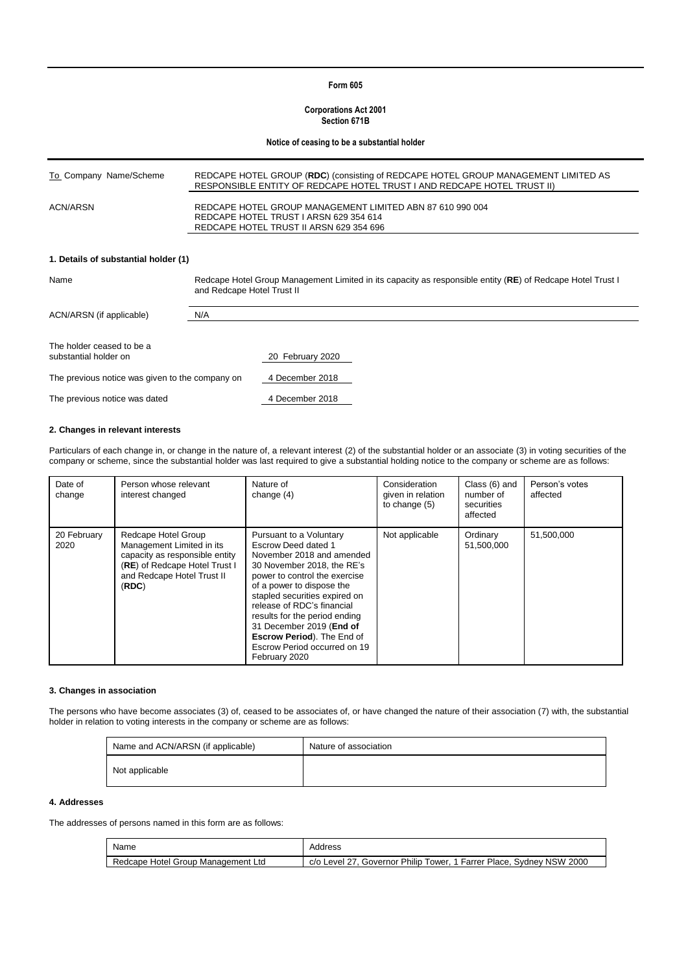## **Form 605**

#### **Corporations Act 2001 Section 671B**

#### **Notice of ceasing to be a substantial holder**

| REDCAPE HOTEL GROUP (RDC) (consisting of REDCAPE HOTEL GROUP MANAGEMENT LIMITED AS<br>RESPONSIBLE ENTITY OF REDCAPE HOTEL TRUST I AND REDCAPE HOTEL TRUST II) |
|---------------------------------------------------------------------------------------------------------------------------------------------------------------|
| REDCAPE HOTEL GROUP MANAGEMENT LIMITED ABN 87 610 990 004<br>REDCAPE HOTEL TRUST I ARSN 629 354 614<br>REDCAPE HOTEL TRUST II ARSN 629 354 696                |
|                                                                                                                                                               |

## **1. Details of substantial holder (1)**

| Name                                               | Redcape Hotel Group Management Limited in its capacity as responsible entity (RE) of Redcape Hotel Trust I<br>and Redcape Hotel Trust II |                  |  |  |
|----------------------------------------------------|------------------------------------------------------------------------------------------------------------------------------------------|------------------|--|--|
| ACN/ARSN (if applicable)                           | N/A                                                                                                                                      |                  |  |  |
|                                                    |                                                                                                                                          |                  |  |  |
| The holder ceased to be a<br>substantial holder on |                                                                                                                                          | 20 February 2020 |  |  |
| The previous notice was given to the company on    |                                                                                                                                          | 4 December 2018  |  |  |
| The previous notice was dated                      |                                                                                                                                          | 4 December 2018  |  |  |

#### **2. Changes in relevant interests**

Particulars of each change in, or change in the nature of, a relevant interest (2) of the substantial holder or an associate (3) in voting securities of the company or scheme, since the substantial holder was last required to give a substantial holding notice to the company or scheme are as follows:

| Date of<br>change   | Person whose relevant<br>interest changed                                                                                                                  | Nature of<br>change $(4)$                                                                                                                                                                                                                                                                                                                                                          | Consideration<br>given in relation<br>to change (5) | Class (6) and<br>number of<br>securities<br>affected | Person's votes<br>affected |
|---------------------|------------------------------------------------------------------------------------------------------------------------------------------------------------|------------------------------------------------------------------------------------------------------------------------------------------------------------------------------------------------------------------------------------------------------------------------------------------------------------------------------------------------------------------------------------|-----------------------------------------------------|------------------------------------------------------|----------------------------|
| 20 February<br>2020 | Redcape Hotel Group<br>Management Limited in its<br>capacity as responsible entity<br>(RE) of Redcape Hotel Trust I<br>and Redcape Hotel Trust II<br>(RDC) | Pursuant to a Voluntary<br>Escrow Deed dated 1<br>November 2018 and amended<br>30 November 2018, the RE's<br>power to control the exercise<br>of a power to dispose the<br>stapled securities expired on<br>release of RDC's financial<br>results for the period ending<br>31 December 2019 (End of<br>Escrow Period). The End of<br>Escrow Period occurred on 19<br>February 2020 | Not applicable                                      | Ordinary<br>51,500,000                               | 51.500.000                 |

## **3. Changes in association**

The persons who have become associates (3) of, ceased to be associates of, or have changed the nature of their association (7) with, the substantial holder in relation to voting interests in the company or scheme are as follows:

| Name and ACN/ARSN (if applicable) | Nature of association |
|-----------------------------------|-----------------------|
| Not applicable                    |                       |

# **4. Addresses**

The addresses of persons named in this form are as follows:

| Name                               | Address                                                                   |
|------------------------------------|---------------------------------------------------------------------------|
| Redcape Hotel Group Management Ltd | c/o Level 27, Governor Philip Tower,<br>. 1 Farrer Place, Sydney NSW 2000 |